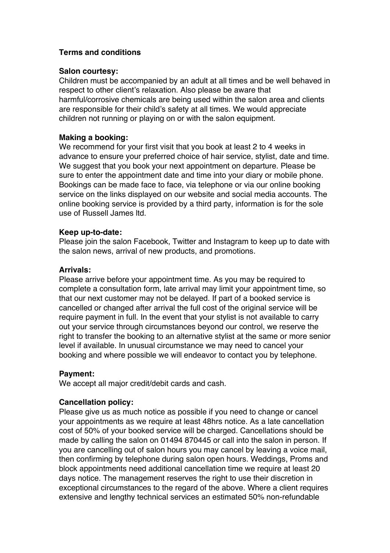# **Terms and conditions**

#### **Salon courtesy:**

Children must be accompanied by an adult at all times and be well behaved in respect to other client's relaxation. Also please be aware that harmful/corrosive chemicals are being used within the salon area and clients are responsible for their child's safety at all times. We would appreciate children not running or playing on or with the salon equipment.

# **Making a booking:**

We recommend for your first visit that you book at least 2 to 4 weeks in advance to ensure your preferred choice of hair service, stylist, date and time. We suggest that you book your next appointment on departure. Please be sure to enter the appointment date and time into your diary or mobile phone. Bookings can be made face to face, via telephone or via our online booking service on the links displayed on our website and social media accounts. The online booking service is provided by a third party, information is for the sole use of Russell James ltd.

#### **Keep up-to-date:**

Please join the salon Facebook, Twitter and Instagram to keep up to date with the salon news, arrival of new products, and promotions.

# **Arrivals:**

Please arrive before your appointment time. As you may be required to complete a consultation form, late arrival may limit your appointment time, so that our next customer may not be delayed. If part of a booked service is cancelled or changed after arrival the full cost of the original service will be require payment in full. In the event that your stylist is not available to carry out your service through circumstances beyond our control, we reserve the right to transfer the booking to an alternative stylist at the same or more senior level if available. In unusual circumstance we may need to cancel your booking and where possible we will endeavor to contact you by telephone.

# **Payment:**

We accept all major credit/debit cards and cash.

# **Cancellation policy:**

Please give us as much notice as possible if you need to change or cancel your appointments as we require at least 48hrs notice. As a late cancellation cost of 50% of your booked service will be charged. Cancellations should be made by calling the salon on 01494 870445 or call into the salon in person. If you are cancelling out of salon hours you may cancel by leaving a voice mail, then confirming by telephone during salon open hours. Weddings, Proms and block appointments need additional cancellation time we require at least 20 days notice. The management reserves the right to use their discretion in exceptional circumstances to the regard of the above. Where a client requires extensive and lengthy technical services an estimated 50% non-refundable